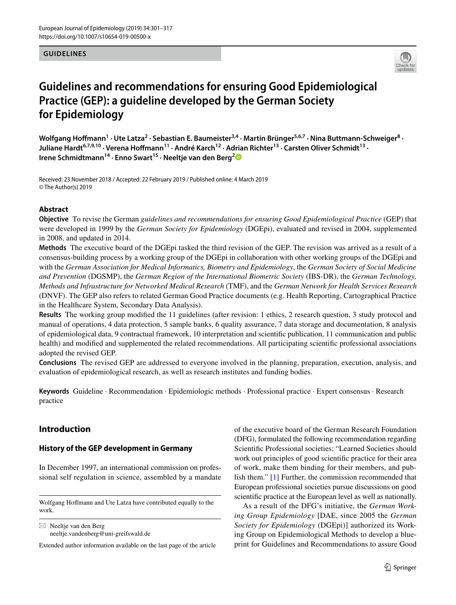#### **GUIDELINES**



# **Guidelines and recommendations for ensuring Good Epidemiological Practice (GEP): a guideline developed by the German Society for Epidemiology**

Wolfgang Hoffmann<sup>1</sup> · Ute Latza<sup>2</sup> · Sebastian E. Baumeister<sup>3,4</sup> · Martin Brünger<sup>5,6,7</sup> · Nina Buttmann-Schweiger<sup>8</sup> · Juliane Hardt<sup>6,7,9,10</sup> · Verena Hoffmann<sup>11</sup> · André Karch<sup>12</sup> · Adrian Richter<sup>13</sup> · Carsten Oliver Schmidt<sup>13</sup> · **Irene Schmidtmann<sup>14</sup> · Enno Swart<sup>15</sup> · Neeltje van den Berg<sup>[2](http://orcid.org/0000-0001-6965-0544)</sup><sup>1</sup>** 

Received: 23 November 2018 / Accepted: 22 February 2019 / Published online: 4 March 2019 © The Author(s) 2019

#### **Abstract**

**Objective** To revise the German *guidelines and recommendations for ensuring Good Epidemiological Practice* (GEP) that were developed in 1999 by the *German Society for Epidemiology* (DGEpi), evaluated and revised in 2004, supplemented in 2008, and updated in 2014.

**Methods** The executive board of the DGEpi tasked the third revision of the GEP. The revision was arrived as a result of a consensus-building process by a working group of the DGEpi in collaboration with other working groups of the DGEpi and with the *German Association for Medical Informatics, Biometry and Epidemiology*, the *German Society of Social Medicine and Prevention* (DGSMP), the *German Region of the International Biometric Society* (IBS-DR), the *German Technology, Methods and Infrastructure for Networked Medical Research* (TMF), and the *German Network for Health Services Research* (DNVF). The GEP also refers to related German Good Practice documents (e.g. Health Reporting, Cartographical Practice in the Healthcare System, Secondary Data Analysis).

**Results** The working group modifed the 11 guidelines (after revision: 1 ethics, 2 research question, 3 study protocol and manual of operations, 4 data protection, 5 sample banks, 6 quality assurance, 7 data storage and documentation, 8 analysis of epidemiological data, 9 contractual framework, 10 interpretation and scientifc publication, 11 communication and public health) and modifed and supplemented the related recommendations. All participating scientifc professional associations adopted the revised GEP.

**Conclusions** The revised GEP are addressed to everyone involved in the planning, preparation, execution, analysis, and evaluation of epidemiological research, as well as research institutes and funding bodies.

**Keywords** Guideline · Recommendation · Epidemiologic methods · Professional practice · Expert consensus · Research practice

# **Introduction**

#### <span id="page-0-0"></span>**History of the GEP development in Germany**

In December 1997, an international commission on professional self regulation in science, assembled by a mandate

Wolfgang Hofmann and Ute Latza have contributed equally to the work.

 $\boxtimes$  Neeltje van den Berg neeltje.vandenberg@uni-greifswald.de

Extended author information available on the last page of the article

of the executive board of the German Research Foundation (DFG), formulated the following recommendation regarding Scientifc Professional societies: "Learned Societies should work out principles of good scientifc practice for their area of work, make them binding for their members, and publish them." [\[1](#page-13-0)] Further, the commission recommended that European professional societies pursue discussions on good scientifc practice at the European level as well as nationally.

As a result of the DFG's initiative, the *German Working Group Epidemiology* [DAE, since 2005 the *German Society for Epidemiology* (DGEpi)] authorized its Working Group on Epidemiological Methods to develop a blueprint for Guidelines and Recommendations to assure Good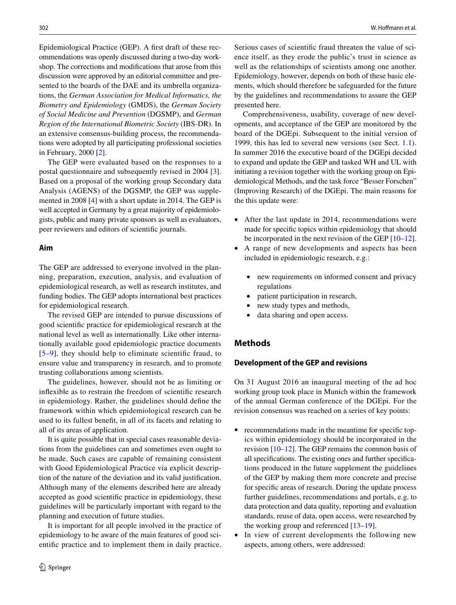Epidemiological Practice (GEP). A frst draft of these recommendations was openly discussed during a two-day workshop. The corrections and modifcations that arose from this discussion were approved by an editorial committee and presented to the boards of the DAE and its umbrella organizations, the *German Association for Medical Informatics, the Biometry and Epidemiology* (GMDS), the *German Society of Social Medicine and Prevention* (DGSMP), and *German Region of the International Biometric Society* (IBS-DR). In an extensive consensus-building process, the recommendations were adopted by all participating professional societies in February, 2000 [[2\]](#page-13-1).

The GEP were evaluated based on the responses to a postal questionnaire and subsequently revised in 2004 [\[3](#page-14-0)]. Based on a proposal of the working group Secondary data Analysis (AGENS) of the DGSMP, the GEP was supplemented in 2008 [[4\]](#page-14-1) with a short update in 2014. The GEP is well accepted in Germany by a great majority of epidemiologists, public and many private sponsors as well as evaluators, peer reviewers and editors of scientifc journals.

#### **Aim**

The GEP are addressed to everyone involved in the planning, preparation, execution, analysis, and evaluation of epidemiological research, as well as research institutes, and funding bodies. The GEP adopts international best practices for epidemiological research.

The revised GEP are intended to pursue discussions of good scientifc practice for epidemiological research at the national level as well as internationally. Like other internationally available good epidemiologic practice documents [[5–](#page-14-2)[9](#page-14-3)], they should help to eliminate scientifc fraud, to ensure value and transparency in research, and to promote trusting collaborations among scientists.

The guidelines, however, should not be as limiting or infexible as to restrain the freedom of scientifc research in epidemiology. Rather, the guidelines should defne the framework within which epidemiological research can be used to its fullest beneft, in all of its facets and relating to all of its areas of application.

It is quite possible that in special cases reasonable deviations from the guidelines can and sometimes even ought to be made. Such cases are capable of remaining consistent with Good Epidemiological Practice via explicit description of the nature of the deviation and its valid justifcation. Although many of the elements described here are already accepted as good scientifc practice in epidemiology, these guidelines will be particularly important with regard to the planning and execution of future studies.

It is important for all people involved in the practice of epidemiology to be aware of the main features of good scientifc practice and to implement them in daily practice. Serious cases of scientifc fraud threaten the value of science itself, as they erode the public's trust in science as well as the relationships of scientists among one another. Epidemiology, however, depends on both of these basic elements, which should therefore be safeguarded for the future by the guidelines and recommendations to assure the GEP presented here.

Comprehensiveness, usability, coverage of new developments, and acceptance of the GEP are monitored by the board of the DGEpi. Subsequent to the initial version of 1999, this has led to several new versions (see Sect. [1.1](#page-0-0)). In summer 2016 the executive board of the DGEpi decided to expand and update the GEP and tasked WH and UL with initiating a revision together with the working group on Epidemiological Methods, and the task force "Besser Forschen" (Improving Research) of the DGEpi. The main reasons for the this update were:

- After the last update in 2014, recommendations were made for specifc topics within epidemiology that should be incorporated in the next revision of the GEP  $[10-12]$  $[10-12]$ .
- A range of new developments and aspects has been included in epidemiologic research, e.g.:
	- new requirements on informed consent and privacy regulations
	- patient participation in research,
	- new study types and methods,
	- data sharing and open access.

# **Methods**

#### **Development of the GEP and revisions**

On 31 August 2016 an inaugural meeting of the ad hoc working group took place in Munich within the framework of the annual German conference of the DGEpi. For the revision consensus was reached on a series of key points:

- recommendations made in the meantime for specific topics within epidemiology should be incorporated in the revision [[10–](#page-14-4)[12\]](#page-14-5). The GEP remains the common basis of all specifcations. The existing ones and further specifcations produced in the future supplement the guidelines of the GEP by making them more concrete and precise for specifc areas of research. During the update process further guidelines, recommendations and portals, e.g. to data protection and data quality, reporting and evaluation standards, reuse of data, open access, were researched by the working group and referenced [\[13](#page-14-6)[–19](#page-14-7)].
- In view of current developments the following new aspects, among others, were addressed: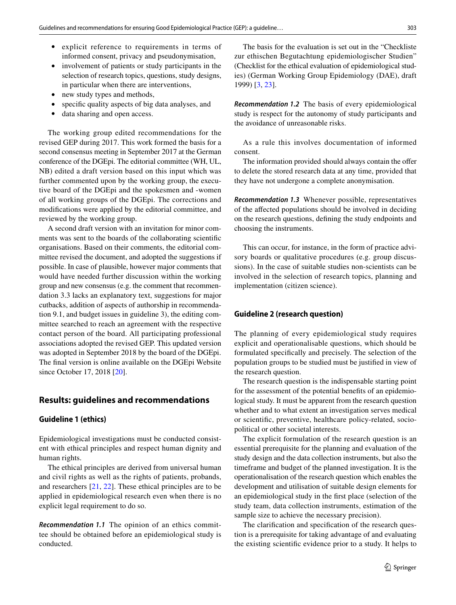- explicit reference to requirements in terms of informed consent, privacy and pseudonymisation,
- involvement of patients or study participants in the selection of research topics, questions, study designs, in particular when there are interventions,
- new study types and methods,
- specific quality aspects of big data analyses, and
- data sharing and open access.

The working group edited recommendations for the revised GEP during 2017. This work formed the basis for a second consensus meeting in September 2017 at the German conference of the DGEpi. The editorial committee (WH, UL, NB) edited a draft version based on this input which was further commented upon by the working group, the executive board of the DGEpi and the spokesmen and -women of all working groups of the DGEpi. The corrections and modifcations were applied by the editorial committee, and reviewed by the working group.

A second draft version with an invitation for minor comments was sent to the boards of the collaborating scientifc organisations. Based on their comments, the editorial committee revised the document, and adopted the suggestions if possible. In case of plausible, however major comments that would have needed further discussion within the working group and new consensus (e.g. the comment that recommendation 3.3 lacks an explanatory text, suggestions for major cutbacks, addition of aspects of authorship in recommendation 9.1, and budget issues in guideline 3), the editing committee searched to reach an agreement with the respective contact person of the board. All participating professional associations adopted the revised GEP. This updated version was adopted in September 2018 by the board of the DGEpi. The fnal version is online available on the DGEpi Website since October 17, 2018 [\[20](#page-14-8)].

# **Results: guidelines and recommendations**

#### **Guideline 1 (ethics)**

Epidemiological investigations must be conducted consistent with ethical principles and respect human dignity and human rights.

The ethical principles are derived from universal human and civil rights as well as the rights of patients, probands, and researchers [[21](#page-14-9), [22](#page-14-10)]. These ethical principles are to be applied in epidemiological research even when there is no explicit legal requirement to do so.

*Recommendation 1.1* The opinion of an ethics committee should be obtained before an epidemiological study is conducted.

The basis for the evaluation is set out in the "Checkliste zur ethischen Begutachtung epidemiologischer Studien" (Checklist for the ethical evaluation of epidemiological studies) (German Working Group Epidemiology (DAE), draft 1999) [[3,](#page-14-0) [23\]](#page-14-11).

*Recommendation 1.2* The basis of every epidemiological study is respect for the autonomy of study participants and the avoidance of unreasonable risks.

As a rule this involves documentation of informed consent.

The information provided should always contain the offer to delete the stored research data at any time, provided that they have not undergone a complete anonymisation.

*Recommendation 1.3* Whenever possible, representatives of the afected populations should be involved in deciding on the research questions, defning the study endpoints and choosing the instruments.

This can occur, for instance, in the form of practice advisory boards or qualitative procedures (e.g. group discussions). In the case of suitable studies non-scientists can be involved in the selection of research topics, planning and implementation (citizen science).

#### **Guideline 2 (research question)**

The planning of every epidemiological study requires explicit and operationalisable questions, which should be formulated specifcally and precisely. The selection of the population groups to be studied must be justifed in view of the research question.

The research question is the indispensable starting point for the assessment of the potential benefts of an epidemiological study. It must be apparent from the research question whether and to what extent an investigation serves medical or scientifc, preventive, healthcare policy-related, sociopolitical or other societal interests.

The explicit formulation of the research question is an essential prerequisite for the planning and evaluation of the study design and the data collection instruments, but also the timeframe and budget of the planned investigation. It is the operationalisation of the research question which enables the development and utilisation of suitable design elements for an epidemiological study in the frst place (selection of the study team, data collection instruments, estimation of the sample size to achieve the necessary precision).

The clarifcation and specifcation of the research question is a prerequisite for taking advantage of and evaluating the existing scientifc evidence prior to a study. It helps to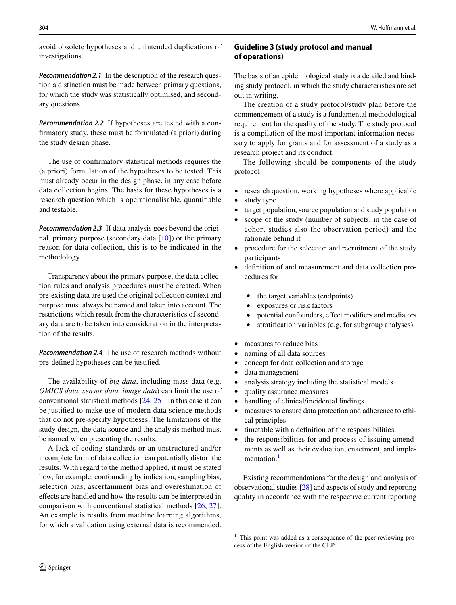avoid obsolete hypotheses and unintended duplications of investigations.

*Recommendation 2.1* In the description of the research question a distinction must be made between primary questions, for which the study was statistically optimised, and secondary questions.

*Recommendation 2.2* If hypotheses are tested with a confrmatory study, these must be formulated (a priori) during the study design phase.

The use of confrmatory statistical methods requires the (a priori) formulation of the hypotheses to be tested. This must already occur in the design phase, in any case before data collection begins. The basis for these hypotheses is a research question which is operationalisable, quantifable and testable.

*Recommendation 2.3* If data analysis goes beyond the original, primary purpose (secondary data [\[10](#page-14-4)]) or the primary reason for data collection, this is to be indicated in the methodology.

Transparency about the primary purpose, the data collection rules and analysis procedures must be created. When pre-existing data are used the original collection context and purpose must always be named and taken into account. The restrictions which result from the characteristics of secondary data are to be taken into consideration in the interpretation of the results.

*Recommendation 2.4* The use of research methods without pre-defned hypotheses can be justifed.

The availability of *big data*, including mass data (e.g. *OMICS data, sensor data, image data*) can limit the use of conventional statistical methods [[24,](#page-14-12) [25\]](#page-14-13). In this case it can be justifed to make use of modern data science methods that do not pre-specify hypotheses. The limitations of the study design, the data source and the analysis method must be named when presenting the results.

A lack of coding standards or an unstructured and/or incomplete form of data collection can potentially distort the results. With regard to the method applied, it must be stated how, for example, confounding by indication, sampling bias, selection bias, ascertainment bias and overestimation of efects are handled and how the results can be interpreted in comparison with conventional statistical methods [[26,](#page-14-14) [27](#page-14-15)]. An example is results from machine learning algorithms, for which a validation using external data is recommended.

The basis of an epidemiological study is a detailed and binding study protocol, in which the study characteristics are set out in writing.

The creation of a study protocol/study plan before the commencement of a study is a fundamental methodological requirement for the quality of the study. The study protocol is a compilation of the most important information necessary to apply for grants and for assessment of a study as a research project and its conduct.

The following should be components of the study protocol:

- research question, working hypotheses where applicable
- study type
- target population, source population and study population
- scope of the study (number of subjects, in the case of cohort studies also the observation period) and the rationale behind it
- procedure for the selection and recruitment of the study participants
- definition of and measurement and data collection procedures for
	- the target variables (endpoints)
	- exposures or risk factors
	- potential confounders, efect modifers and mediators
	- stratifcation variables (e.g. for subgroup analyses)
- measures to reduce bias
- naming of all data sources
- concept for data collection and storage
- data management
- analysis strategy including the statistical models
- quality assurance measures
- handling of clinical/incidental findings
- measures to ensure data protection and adherence to ethical principles
- timetable with a defnition of the responsibilities.
- the responsibilities for and process of issuing amendments as well as their evaluation, enactment, and imple-mentation.<sup>[1](#page-3-0)</sup>

Existing recommendations for the design and analysis of observational studies [[28](#page-14-16)] and aspects of study and reporting quality in accordance with the respective current reporting

<span id="page-3-0"></span><sup>&</sup>lt;sup>1</sup> This point was added as a consequence of the peer-reviewing process of the English version of the GEP.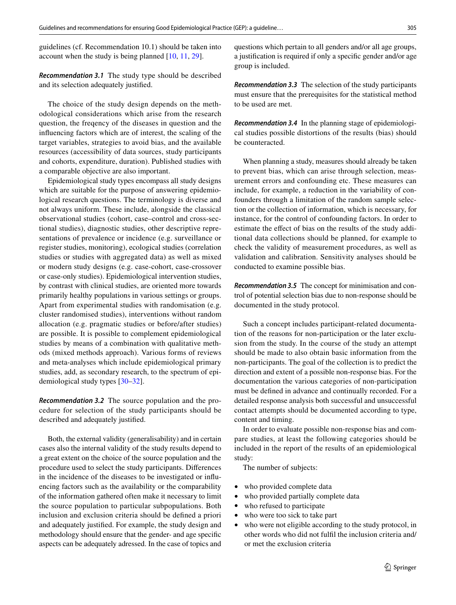*Recommendation 3.1* The study type should be described and its selection adequately justifed.

The choice of the study design depends on the methodological considerations which arise from the research question, the freqency of the diseases in question and the infuencing factors which are of interest, the scaling of the target variables, strategies to avoid bias, and the available resources (accessibility of data sources, study participants and cohorts, expenditure, duration). Published studies with a comparable objective are also important.

Epidemiological study types encompass all study designs which are suitable for the purpose of answering epidemiological research questions. The terminology is diverse and not always uniform. These include, alongside the classical observational studies (cohort, case–control and cross-sectional studies), diagnostic studies, other descriptive representations of prevalence or incidence (e.g. surveillance or register studies, monitoring), ecological studies (correlation studies or studies with aggregated data) as well as mixed or modern study designs (e.g. case-cohort, case-crossover or case-only studies). Epidemiological intervention studies, by contrast with clinical studies, are oriented more towards primarily healthy populations in various settings or groups. Apart from experimental studies with randomisation (e.g. cluster randomised studies), interventions without random allocation (e.g. pragmatic studies or before/after studies) are possible. It is possible to complement epidemiological studies by means of a combination with qualitative methods (mixed methods approach). Various forms of reviews and meta-analyses which include epidemiological primary studies, add, as secondary research, to the spectrum of epidemiological study types [[30–](#page-14-19)[32\]](#page-14-20).

*Recommendation 3.2* The source population and the procedure for selection of the study participants should be described and adequately justifed.

Both, the external validity (generalisability) and in certain cases also the internal validity of the study results depend to a great extent on the choice of the source population and the procedure used to select the study participants. Diferences in the incidence of the diseases to be investigated or infuencing factors such as the availability or the comparability of the information gathered often make it necessary to limit the source population to particular subpopulations. Both inclusion and exclusion criteria should be defned a priori and adequately justifed. For example, the study design and methodology should ensure that the gender- and age specifc aspects can be adequately adressed. In the case of topics and questions which pertain to all genders and/or all age groups, a justifcation is required if only a specifc gender and/or age group is included.

*Recommendation 3.3* The selection of the study participants must ensure that the prerequisites for the statistical method to be used are met.

*Recommendation 3.4* In the planning stage of epidemiological studies possible distortions of the results (bias) should be counteracted.

When planning a study, measures should already be taken to prevent bias, which can arise through selection, measurement errors and confounding etc. These measures can include, for example, a reduction in the variability of confounders through a limitation of the random sample selection or the collection of information, which is necessary, for instance, for the control of confounding factors. In order to estimate the effect of bias on the results of the study additional data collections should be planned, for example to check the validity of measurement procedures, as well as validation and calibration. Sensitivity analyses should be conducted to examine possible bias.

*Recommendation 3.5* The concept for minimisation and control of potential selection bias due to non-response should be documented in the study protocol.

Such a concept includes participant-related documentation of the reasons for non-participation or the later exclusion from the study. In the course of the study an attempt should be made to also obtain basic information from the non-participants. The goal of the collection is to predict the direction and extent of a possible non-response bias. For the documentation the various categories of non-participation must be defned in advance and continually recorded. For a detailed response analysis both successful and unsuccessful contact attempts should be documented according to type, content and timing.

In order to evaluate possible non-response bias and compare studies, at least the following categories should be included in the report of the results of an epidemiological study:

The number of subjects:

- who provided complete data
- who provided partially complete data
- who refused to participate
- who were too sick to take part
- who were not eligible according to the study protocol, in other words who did not fulfl the inclusion criteria and/ or met the exclusion criteria

 $\mathcal{D}$  Springer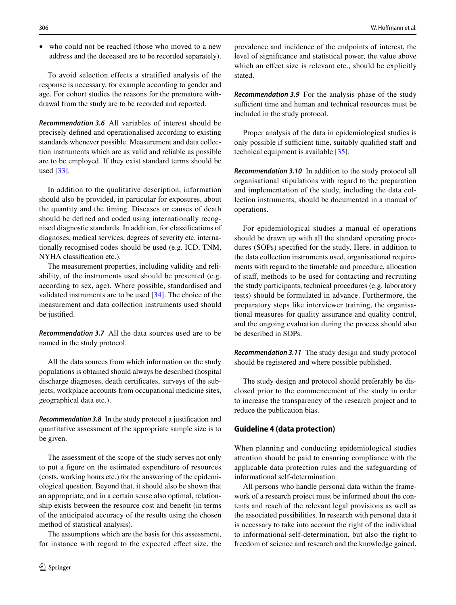• who could not be reached (those who moved to a new address and the deceased are to be recorded separately).

To avoid selection effects a stratified analysis of the response is necessary, for example according to gender and age. For cohort studies the reasons for the premature withdrawal from the study are to be recorded and reported.

*Recommendation 3.6* All variables of interest should be precisely defned and operationalised according to existing standards whenever possible. Measurement and data collection instruments which are as valid and reliable as possible are to be employed. If they exist standard terms should be used [\[33](#page-15-0)].

In addition to the qualitative description, information should also be provided, in particular for exposures, about the quantity and the timing. Diseases or causes of death should be defned and coded using internationally recognised diagnostic standards. In addition, for classifcations of diagnoses, medical services, degrees of severity etc. internationally recognised codes should be used (e.g. ICD, TNM, NYHA classifcation etc.).

The measurement properties, including validity and reliability, of the instruments used should be presented (e.g. according to sex, age). Where possible, standardised and validated instruments are to be used [[34](#page-15-1)]. The choice of the measurement and data collection instruments used should be justifed.

*Recommendation 3.7* All the data sources used are to be named in the study protocol.

All the data sources from which information on the study populations is obtained should always be described (hospital discharge diagnoses, death certifcates, surveys of the subjects, workplace accounts from occupational medicine sites, geographical data etc.).

*Recommendation 3.8* In the study protocol a justifcation and quantitative assessment of the appropriate sample size is to be given.

The assessment of the scope of the study serves not only to put a fgure on the estimated expenditure of resources (costs, working hours etc.) for the answering of the epidemiological question. Beyond that, it should also be shown that an appropriate, and in a certain sense also optimal, relationship exists between the resource cost and beneft (in terms of the anticipated accuracy of the results using the chosen method of statistical analysis).

The assumptions which are the basis for this assessment, for instance with regard to the expected efect size, the prevalence and incidence of the endpoints of interest, the level of signifcance and statistical power, the value above which an effect size is relevant etc., should be explicitly stated.

*Recommendation 3.9* For the analysis phase of the study sufficient time and human and technical resources must be included in the study protocol.

Proper analysis of the data in epidemiological studies is only possible if sufficient time, suitably qualified staff and technical equipment is available [[35](#page-15-2)].

*Recommendation 3.10* In addition to the study protocol all organisational stipulations with regard to the preparation and implementation of the study, including the data collection instruments, should be documented in a manual of operations.

For epidemiological studies a manual of operations should be drawn up with all the standard operating procedures (SOPs) specifed for the study. Here, in addition to the data collection instruments used, organisational requirements with regard to the timetable and procedure, allocation of staf, methods to be used for contacting and recruiting the study participants, technical procedures (e.g. laboratory tests) should be formulated in advance. Furthermore, the preparatory steps like interviewer training, the organisational measures for quality assurance and quality control, and the ongoing evaluation during the process should also be described in SOPs.

*Recommendation 3.11* The study design and study protocol should be registered and where possible published.

The study design and protocol should preferably be disclosed prior to the commencement of the study in order to increase the transparency of the research project and to reduce the publication bias.

#### **Guideline 4 (data protection)**

When planning and conducting epidemiological studies attention should be paid to ensuring compliance with the applicable data protection rules and the safeguarding of informational self-determination.

All persons who handle personal data within the framework of a research project must be informed about the contents and reach of the relevant legal provisions as well as the associated possibilities. In research with personal data it is necessary to take into account the right of the individual to informational self-determination, but also the right to freedom of science and research and the knowledge gained,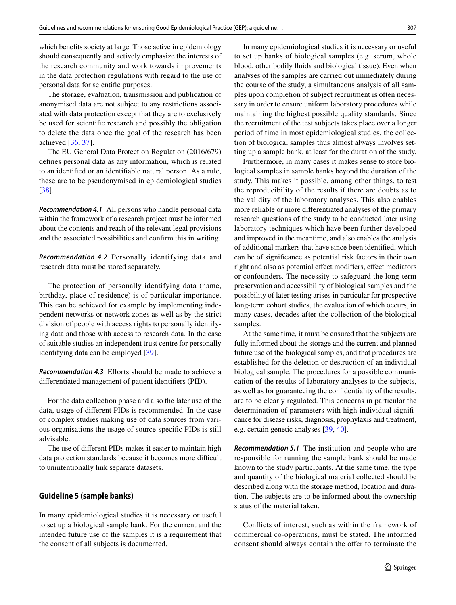which benefts society at large. Those active in epidemiology should consequently and actively emphasize the interests of the research community and work towards improvements in the data protection regulations with regard to the use of personal data for scientifc purposes.

The storage, evaluation, transmission and publication of anonymised data are not subject to any restrictions associated with data protection except that they are to exclusively be used for scientifc research and possibly the obligation to delete the data once the goal of the research has been achieved [\[36](#page-15-3), [37](#page-15-4)].

The EU General Data Protection Regulation (2016/679) defnes personal data as any information, which is related to an identifed or an identifable natural person. As a rule, these are to be pseudonymised in epidemiological studies [\[38\]](#page-15-5).

*Recommendation 4.1* All persons who handle personal data within the framework of a research project must be informed about the contents and reach of the relevant legal provisions and the associated possibilities and confrm this in writing.

*Recommendation 4.2* Personally identifying data and research data must be stored separately.

The protection of personally identifying data (name, birthday, place of residence) is of particular importance. This can be achieved for example by implementing independent networks or network zones as well as by the strict division of people with access rights to personally identifying data and those with access to research data. In the case of suitable studies an independent trust centre for personally identifying data can be employed [[39\]](#page-15-6).

**Recommendation 4.3** Efforts should be made to achieve a diferentiated management of patient identifers (PID).

For the data collection phase and also the later use of the data, usage of diferent PIDs is recommended. In the case of complex studies making use of data sources from various organisations the usage of source-specifc PIDs is still advisable.

The use of diferent PIDs makes it easier to maintain high data protection standards because it becomes more difficult to unintentionally link separate datasets.

#### **Guideline 5 (sample banks)**

In many epidemiological studies it is necessary or useful to set up a biological sample bank. For the current and the intended future use of the samples it is a requirement that the consent of all subjects is documented.

In many epidemiological studies it is necessary or useful to set up banks of biological samples (e.g. serum, whole blood, other bodily fuids and biological tissue). Even when analyses of the samples are carried out immediately during the course of the study, a simultaneous analysis of all samples upon completion of subject recruitment is often necessary in order to ensure uniform laboratory procedures while maintaining the highest possible quality standards. Since the recruitment of the test subjects takes place over a longer period of time in most epidemiological studies, the collection of biological samples thus almost always involves setting up a sample bank, at least for the duration of the study.

Furthermore, in many cases it makes sense to store biological samples in sample banks beyond the duration of the study. This makes it possible, among other things, to test the reproducibility of the results if there are doubts as to the validity of the laboratory analyses. This also enables more reliable or more diferentiated analyses of the primary research questions of the study to be conducted later using laboratory techniques which have been further developed and improved in the meantime, and also enables the analysis of additional markers that have since been identifed, which can be of signifcance as potential risk factors in their own right and also as potential efect modifers, efect mediators or confounders. The necessity to safeguard the long-term preservation and accessibility of biological samples and the possibility of later testing arises in particular for prospective long-term cohort studies, the evaluation of which occurs, in many cases, decades after the collection of the biological samples.

At the same time, it must be ensured that the subjects are fully informed about the storage and the current and planned future use of the biological samples, and that procedures are established for the deletion or destruction of an individual biological sample. The procedures for a possible communication of the results of laboratory analyses to the subjects, as well as for guaranteeing the confdentiality of the results, are to be clearly regulated. This concerns in particular the determination of parameters with high individual signifcance for disease risks, diagnosis, prophylaxis and treatment, e.g. certain genetic analyses [[39,](#page-15-6) [40\]](#page-15-7).

*Recommendation 5.1* The institution and people who are responsible for running the sample bank should be made known to the study participants. At the same time, the type and quantity of the biological material collected should be described along with the storage method, location and duration. The subjects are to be informed about the ownership status of the material taken.

Conficts of interest, such as within the framework of commercial co-operations, must be stated. The informed consent should always contain the offer to terminate the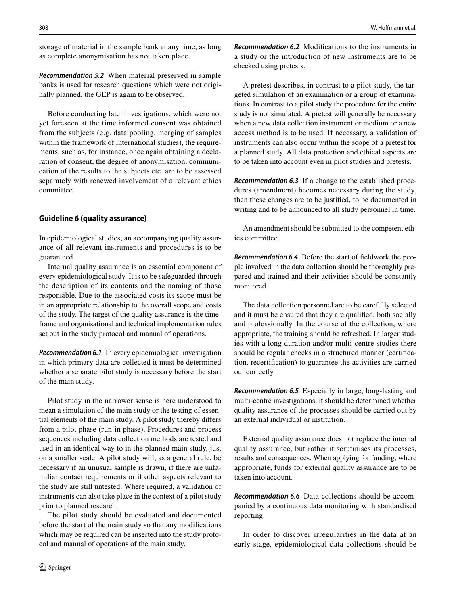storage of material in the sample bank at any time, as long as complete anonymisation has not taken place.

*Recommendation 5.2* When material preserved in sample banks is used for research questions which were not originally planned, the GEP is again to be observed.

Before conducting later investigations, which were not yet foreseen at the time informed consent was obtained from the subjects (e.g. data pooling, merging of samples within the framework of international studies), the requirements, such as, for instance, once again obtaining a declaration of consent, the degree of anonymisation, communication of the results to the subjects etc. are to be assessed separately with renewed involvement of a relevant ethics committee.

#### **Guideline 6 (quality assurance)**

In epidemiological studies, an accompanying quality assurance of all relevant instruments and procedures is to be guaranteed.

Internal quality assurance is an essential component of every epidemiological study. It is to be safeguarded through the description of its contents and the naming of those responsible. Due to the associated costs its scope must be in an appropriate relationship to the overall scope and costs of the study. The target of the quality assurance is the timeframe and organisational and technical implementation rules set out in the study protocol and manual of operations.

*Recommendation 6.1* In every epidemiological investigation in which primary data are collected it must be determined whether a separate pilot study is necessary before the start of the main study.

Pilot study in the narrower sense is here understood to mean a simulation of the main study or the testing of essential elements of the main study. A pilot study thereby difers from a pilot phase (run-in phase). Procedures and process sequences including data collection methods are tested and used in an identical way to in the planned main study, just on a smaller scale. A pilot study will, as a general rule, be necessary if an unusual sample is drawn, if there are unfamiliar contact requirements or if other aspects relevant to the study are still untested. Where required, a validation of instruments can also take place in the context of a pilot study prior to planned research.

The pilot study should be evaluated and documented before the start of the main study so that any modifcations which may be required can be inserted into the study protocol and manual of operations of the main study.

*Recommendation 6.2* Modifcations to the instruments in a study or the introduction of new instruments are to be checked using pretests.

A pretest describes, in contrast to a pilot study, the targeted simulation of an examination or a group of examinations. In contrast to a pilot study the procedure for the entire study is not simulated. A pretest will generally be necessary when a new data collection instrument or medium or a new access method is to be used. If necessary, a validation of instruments can also occur within the scope of a pretest for a planned study. All data protection and ethical aspects are to be taken into account even in pilot studies and pretests.

*Recommendation 6.3* If a change to the established procedures (amendment) becomes necessary during the study, then these changes are to be justifed, to be documented in writing and to be announced to all study personnel in time.

An amendment should be submitted to the competent ethics committee.

*Recommendation 6.4* Before the start of feldwork the people involved in the data collection should be thoroughly prepared and trained and their activities should be constantly monitored.

The data collection personnel are to be carefully selected and it must be ensured that they are qualifed, both socially and professionally. In the course of the collection, where appropriate, the training should be refreshed. In larger studies with a long duration and/or multi-centre studies there should be regular checks in a structured manner (certifcation, recertifcation) to guarantee the activities are carried out correctly.

*Recommendation 6.5* Especially in large, long-lasting and multi-centre investigations, it should be determined whether quality assurance of the processes should be carried out by an external individual or institution.

External quality assurance does not replace the internal quality assurance, but rather it scrutinises its processes, results and consequences. When applying for funding, where appropriate, funds for external quality assurance are to be taken into account.

*Recommendation 6.6* Data collections should be accompanied by a continuous data monitoring with standardised reporting.

In order to discover irregularities in the data at an early stage, epidemiological data collections should be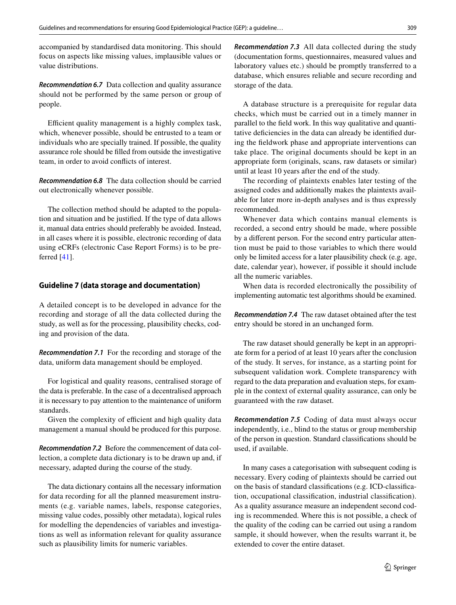accompanied by standardised data monitoring. This should focus on aspects like missing values, implausible values or value distributions.

*Recommendation 6.7* Data collection and quality assurance should not be performed by the same person or group of people.

Efficient quality management is a highly complex task, which, whenever possible, should be entrusted to a team or individuals who are specially trained. If possible, the quality assurance role should be flled from outside the investigative team, in order to avoid conficts of interest.

*Recommendation 6.8* The data collection should be carried out electronically whenever possible.

The collection method should be adapted to the population and situation and be justifed. If the type of data allows it, manual data entries should preferably be avoided. Instead, in all cases where it is possible, electronic recording of data using eCRFs (electronic Case Report Forms) is to be preferred [[41\]](#page-15-8).

#### **Guideline 7 (data storage and documentation)**

A detailed concept is to be developed in advance for the recording and storage of all the data collected during the study, as well as for the processing, plausibility checks, coding and provision of the data.

*Recommendation 7.1* For the recording and storage of the data, uniform data management should be employed.

For logistical and quality reasons, centralised storage of the data is preferable. In the case of a decentralised approach it is necessary to pay attention to the maintenance of uniform standards.

Given the complexity of efficient and high quality data management a manual should be produced for this purpose.

*Recommendation 7.2* Before the commencement of data collection, a complete data dictionary is to be drawn up and, if necessary, adapted during the course of the study.

The data dictionary contains all the necessary information for data recording for all the planned measurement instruments (e.g. variable names, labels, response categories, missing value codes, possibly other metadata), logical rules for modelling the dependencies of variables and investigations as well as information relevant for quality assurance such as plausibility limits for numeric variables.

*Recommendation 7.3* All data collected during the study (documentation forms, questionnaires, measured values and laboratory values etc.) should be promptly transferred to a database, which ensures reliable and secure recording and storage of the data.

A database structure is a prerequisite for regular data checks, which must be carried out in a timely manner in parallel to the feld work. In this way qualitative and quantitative defciencies in the data can already be identifed during the feldwork phase and appropriate interventions can take place. The original documents should be kept in an appropriate form (originals, scans, raw datasets or similar) until at least 10 years after the end of the study.

The recording of plaintexts enables later testing of the assigned codes and additionally makes the plaintexts available for later more in-depth analyses and is thus expressly recommended.

Whenever data which contains manual elements is recorded, a second entry should be made, where possible by a diferent person. For the second entry particular attention must be paid to those variables to which there would only be limited access for a later plausibility check (e.g. age, date, calendar year), however, if possible it should include all the numeric variables.

When data is recorded electronically the possibility of implementing automatic test algorithms should be examined.

*Recommendation 7.4* The raw dataset obtained after the test entry should be stored in an unchanged form.

The raw dataset should generally be kept in an appropriate form for a period of at least 10 years after the conclusion of the study. It serves, for instance, as a starting point for subsequent validation work. Complete transparency with regard to the data preparation and evaluation steps, for example in the context of external quality assurance, can only be guaranteed with the raw dataset.

*Recommendation 7.5* Coding of data must always occur independently, i.e., blind to the status or group membership of the person in question. Standard classifcations should be used, if available.

In many cases a categorisation with subsequent coding is necessary. Every coding of plaintexts should be carried out on the basis of standard classifcations (e.g. ICD-classifcation, occupational classifcation, industrial classifcation). As a quality assurance measure an independent second coding is recommended. Where this is not possible, a check of the quality of the coding can be carried out using a random sample, it should however, when the results warrant it, be extended to cover the entire dataset.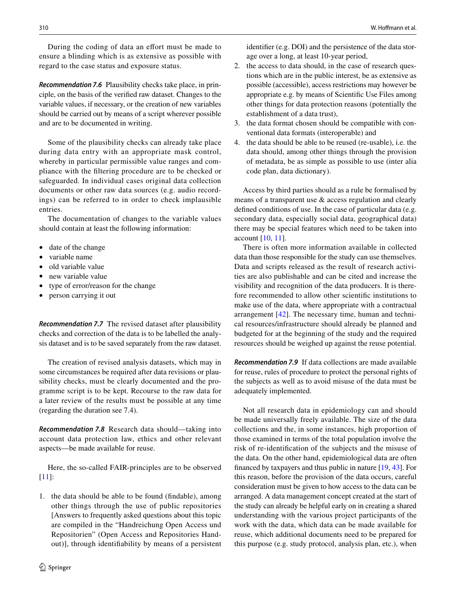During the coding of data an effort must be made to ensure a blinding which is as extensive as possible with regard to the case status and exposure status.

*Recommendation 7.6* Plausibility checks take place, in principle, on the basis of the verifed raw dataset. Changes to the variable values, if necessary, or the creation of new variables should be carried out by means of a script wherever possible and are to be documented in writing.

Some of the plausibility checks can already take place during data entry with an appropriate mask control, whereby in particular permissible value ranges and compliance with the fltering procedure are to be checked or safeguarded. In individual cases original data collection documents or other raw data sources (e.g. audio recordings) can be referred to in order to check implausible entries.

The documentation of changes to the variable values should contain at least the following information:

- date of the change
- variable name
- old variable value
- new variable value
- type of error/reason for the change
- person carrying it out

*Recommendation 7.7* The revised dataset after plausibility checks and correction of the data is to be labelled the analysis dataset and is to be saved separately from the raw dataset.

The creation of revised analysis datasets, which may in some circumstances be required after data revisions or plausibility checks, must be clearly documented and the programme script is to be kept. Recourse to the raw data for a later review of the results must be possible at any time (regarding the duration see 7.4).

*Recommendation 7.8* Research data should—taking into account data protection law, ethics and other relevant aspects—be made available for reuse.

Here, the so-called FAIR-principles are to be observed [\[11\]](#page-14-17):

1. the data should be able to be found (fndable), among other things through the use of public repositories [Answers to frequently asked questions about this topic are compiled in the "Handreichung Open Access und Repositorien" (Open Access and Repositories Handout)], through identifability by means of a persistent identifer (e.g. DOI) and the persistence of the data storage over a long, at least 10-year period,

- 2. the access to data should, in the case of research questions which are in the public interest, be as extensive as possible (accessible), access restrictions may however be appropriate e.g. by means of Scientifc Use Files among other things for data protection reasons (potentially the establishment of a data trust),
- 3. the data format chosen should be compatible with conventional data formats (interoperable) and
- 4. the data should be able to be reused (re-usable), i.e. the data should, among other things through the provision of metadata, be as simple as possible to use (inter alia code plan, data dictionary).

Access by third parties should as a rule be formalised by means of a transparent use & access regulation and clearly defned conditions of use. In the case of particular data (e.g. secondary data, especially social data, geographical data) there may be special features which need to be taken into account [\[10](#page-14-4), [11\]](#page-14-17).

There is often more information available in collected data than those responsible for the study can use themselves. Data and scripts released as the result of research activities are also publishable and can be cited and increase the visibility and recognition of the data producers. It is therefore recommended to allow other scientifc institutions to make use of the data, where appropriate with a contractual arrangement [[42\]](#page-15-9). The necessary time, human and technical resources/infrastructure should already be planned and budgeted for at the beginning of the study and the required resources should be weighed up against the reuse potential.

*Recommendation 7.9* If data collections are made available for reuse, rules of procedure to protect the personal rights of the subjects as well as to avoid misuse of the data must be adequately implemented.

Not all research data in epidemiology can and should be made universally freely available. The size of the data collections and the, in some instances, high proportion of those examined in terms of the total population involve the risk of re-identifcation of the subjects and the misuse of the data. On the other hand, epidemiological data are often fnanced by taxpayers and thus public in nature [[19,](#page-14-7) [43](#page-15-10)]. For this reason, before the provision of the data occurs, careful consideration must be given to how access to the data can be arranged. A data management concept created at the start of the study can already be helpful early on in creating a shared understanding with the various project participants of the work with the data, which data can be made available for reuse, which additional documents need to be prepared for this purpose (e.g. study protocol, analysis plan, etc.), when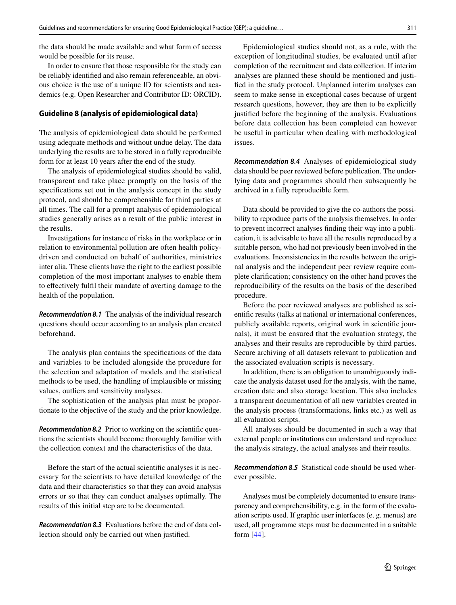the data should be made available and what form of access would be possible for its reuse.

In order to ensure that those responsible for the study can be reliably identifed and also remain referenceable, an obvious choice is the use of a unique ID for scientists and academics (e.g. Open Researcher and Contributor ID: ORCID).

#### **Guideline 8 (analysis of epidemiological data)**

The analysis of epidemiological data should be performed using adequate methods and without undue delay. The data underlying the results are to be stored in a fully reproducible form for at least 10 years after the end of the study.

The analysis of epidemiological studies should be valid, transparent and take place promptly on the basis of the specifcations set out in the analysis concept in the study protocol, and should be comprehensible for third parties at all times. The call for a prompt analysis of epidemiological studies generally arises as a result of the public interest in the results.

Investigations for instance of risks in the workplace or in relation to environmental pollution are often health policydriven and conducted on behalf of authorities, ministries inter alia. These clients have the right to the earliest possible completion of the most important analyses to enable them to efectively fulfl their mandate of averting damage to the health of the population.

*Recommendation 8.1* The analysis of the individual research questions should occur according to an analysis plan created beforehand.

The analysis plan contains the specifcations of the data and variables to be included alongside the procedure for the selection and adaptation of models and the statistical methods to be used, the handling of implausible or missing values, outliers and sensitivity analyses.

The sophistication of the analysis plan must be proportionate to the objective of the study and the prior knowledge.

*Recommendation 8.2* Prior to working on the scientific questions the scientists should become thoroughly familiar with the collection context and the characteristics of the data.

Before the start of the actual scientifc analyses it is necessary for the scientists to have detailed knowledge of the data and their characteristics so that they can avoid analysis errors or so that they can conduct analyses optimally. The results of this initial step are to be documented.

*Recommendation 8.3* Evaluations before the end of data collection should only be carried out when justifed.

Epidemiological studies should not, as a rule, with the exception of longitudinal studies, be evaluated until after completion of the recruitment and data collection. If interim analyses are planned these should be mentioned and justifed in the study protocol. Unplanned interim analyses can seem to make sense in exceptional cases because of urgent research questions, however, they are then to be explicitly justifed before the beginning of the analysis. Evaluations before data collection has been completed can however be useful in particular when dealing with methodological issues.

*Recommendation 8.4* Analyses of epidemiological study data should be peer reviewed before publication. The underlying data and programmes should then subsequently be archived in a fully reproducible form.

Data should be provided to give the co-authors the possibility to reproduce parts of the analysis themselves. In order to prevent incorrect analyses fnding their way into a publication, it is advisable to have all the results reproduced by a suitable person, who had not previously been involved in the evaluations. Inconsistencies in the results between the original analysis and the independent peer review require complete clarifcation; consistency on the other hand proves the reproducibility of the results on the basis of the described procedure.

Before the peer reviewed analyses are published as scientifc results (talks at national or international conferences, publicly available reports, original work in scientifc journals), it must be ensured that the evaluation strategy, the analyses and their results are reproducible by third parties. Secure archiving of all datasets relevant to publication and the associated evaluation scripts is necessary.

In addition, there is an obligation to unambiguously indicate the analysis dataset used for the analysis, with the name, creation date and also storage location. This also includes a transparent documentation of all new variables created in the analysis process (transformations, links etc.) as well as all evaluation scripts.

All analyses should be documented in such a way that external people or institutions can understand and reproduce the analysis strategy, the actual analyses and their results.

*Recommendation 8.5* Statistical code should be used wherever possible.

Analyses must be completely documented to ensure transparency and comprehensibility, e.g. in the form of the evaluation scripts used. If graphic user interfaces (e. g. menus) are used, all programme steps must be documented in a suitable form [\[44\]](#page-15-11).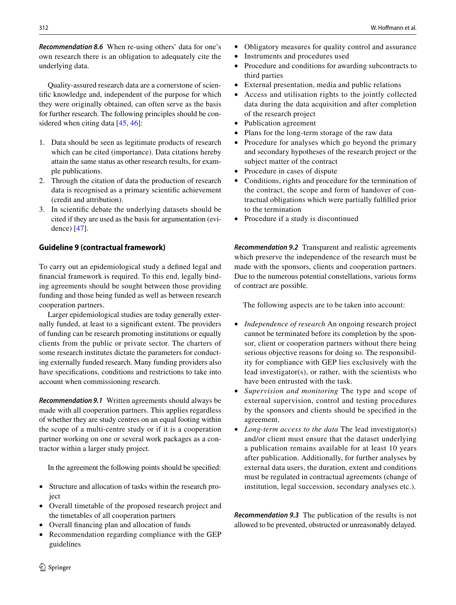*Recommendation 8.6* When re-using others' data for one's own research there is an obligation to adequately cite the underlying data.

Quality-assured research data are a cornerstone of scientifc knowledge and, independent of the purpose for which they were originally obtained, can often serve as the basis for further research. The following principles should be considered when citing data [\[45](#page-15-12), [46](#page-15-13)]:

- 1. Data should be seen as legitimate products of research which can be cited (importance). Data citations hereby attain the same status as other research results, for example publications.
- 2. Through the citation of data the production of research data is recognised as a primary scientifc achievement (credit and attribution).
- 3. In scientifc debate the underlying datasets should be cited if they are used as the basis for argumentation (evidence) [[47\]](#page-15-14).

#### **Guideline 9 (contractual framework)**

To carry out an epidemiological study a defned legal and fnancial framework is required. To this end, legally binding agreements should be sought between those providing funding and those being funded as well as between research cooperation partners.

Larger epidemiological studies are today generally externally funded, at least to a signifcant extent. The providers of funding can be research promoting institutions or equally clients from the public or private sector. The charters of some research institutes dictate the parameters for conducting externally funded research. Many funding providers also have specifcations, conditions and restrictions to take into account when commissioning research.

*Recommendation 9.1* Written agreements should always be made with all cooperation partners. This applies regardless of whether they are study centres on an equal footing within the scope of a multi-centre study or if it is a cooperation partner working on one or several work packages as a contractor within a larger study project.

In the agreement the following points should be specifed:

- Structure and allocation of tasks within the research project
- Overall timetable of the proposed research project and the timetables of all cooperation partners
- Overall fnancing plan and allocation of funds
- Recommendation regarding compliance with the GEP guidelines
- Obligatory measures for quality control and assurance
- Instruments and procedures used
- Procedure and conditions for awarding subcontracts to third parties
- External presentation, media and public relations
- Access and utilisation rights to the jointly collected data during the data acquisition and after completion of the research project
- Publication agreement
- Plans for the long-term storage of the raw data
- Procedure for analyses which go beyond the primary and secondary hypotheses of the research project or the subject matter of the contract
- Procedure in cases of dispute
- Conditions, rights and procedure for the termination of the contract, the scope and form of handover of contractual obligations which were partially fulflled prior to the termination
- Procedure if a study is discontinued

*Recommendation 9.2* Transparent and realistic agreements which preserve the independence of the research must be made with the sponsors, clients and cooperation partners. Due to the numerous potential constellations, various forms of contract are possible.

The following aspects are to be taken into account:

- *Independence of research* An ongoing research project cannot be terminated before its completion by the sponsor, client or cooperation partners without there being serious objective reasons for doing so. The responsibility for compliance with GEP lies exclusively with the lead investigator(s), or rather, with the scientists who have been entrusted with the task.
- *Supervision and monitoring* The type and scope of external supervision, control and testing procedures by the sponsors and clients should be specifed in the agreement.
- *Long*-*term access to the data* The lead investigator(s) and/or client must ensure that the dataset underlying a publication remains available for at least 10 years after publication. Additionally, for further analyses by external data users, the duration, extent and conditions must be regulated in contractual agreements (change of institution, legal succession, secondary analyses etc.).

*Recommendation 9.3* The publication of the results is not allowed to be prevented, obstructed or unreasonably delayed.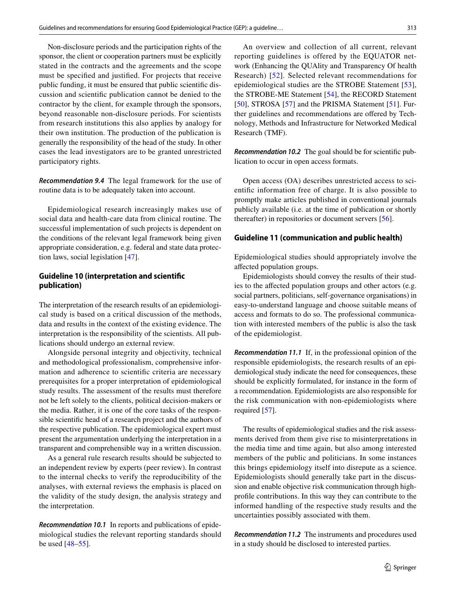Non-disclosure periods and the participation rights of the sponsor, the client or cooperation partners must be explicitly stated in the contracts and the agreements and the scope must be specifed and justifed. For projects that receive public funding, it must be ensured that public scientifc discussion and scientifc publication cannot be denied to the contractor by the client, for example through the sponsors, beyond reasonable non-disclosure periods. For scientists from research institutions this also applies by analogy for their own institution. The production of the publication is generally the responsibility of the head of the study. In other cases the lead investigators are to be granted unrestricted participatory rights.

*Recommendation 9.4* The legal framework for the use of routine data is to be adequately taken into account.

Epidemiological research increasingly makes use of social data and health-care data from clinical routine. The successful implementation of such projects is dependent on the conditions of the relevant legal framework being given appropriate consideration, e.g. federal and state data protection laws, social legislation [\[47](#page-15-14)].

# **Guideline 10 (interpretation and scientifc publication)**

The interpretation of the research results of an epidemiological study is based on a critical discussion of the methods, data and results in the context of the existing evidence. The interpretation is the responsibility of the scientists. All publications should undergo an external review.

Alongside personal integrity and objectivity, technical and methodological professionalism, comprehensive information and adherence to scientifc criteria are necessary prerequisites for a proper interpretation of epidemiological study results. The assessment of the results must therefore not be left solely to the clients, political decision-makers or the media. Rather, it is one of the core tasks of the responsible scientifc head of a research project and the authors of the respective publication. The epidemiological expert must present the argumentation underlying the interpretation in a transparent and comprehensible way in a written discussion.

As a general rule research results should be subjected to an independent review by experts (peer review). In contrast to the internal checks to verify the reproducibility of the analyses, with external reviews the emphasis is placed on the validity of the study design, the analysis strategy and the interpretation.

*Recommendation 10.1* In reports and publications of epidemiological studies the relevant reporting standards should be used  $[48–55]$  $[48–55]$ .

An overview and collection of all current, relevant reporting guidelines is offered by the EQUATOR network (Enhancing the QUAlity and Transparency Of health Research) [[52](#page-15-17)]. Selected relevant recommendations for epidemiological studies are the STROBE Statement [[53](#page-15-18)], the STROBE-ME Statement [[54\]](#page-15-19), the RECORD Statement [[50\]](#page-15-20), STROSA [\[57\]](#page-15-21) and the PRISMA Statement [\[51](#page-15-22)]. Further guidelines and recommendations are ofered by Technology, Methods and Infrastructure for Networked Medical Research (TMF).

*Recommendation 10.2* The goal should be for scientifc publication to occur in open access formats.

Open access (OA) describes unrestricted access to scientifc information free of charge. It is also possible to promptly make articles published in conventional journals publicly available (i.e. at the time of publication or shortly thereafter) in repositories or document servers [[56\]](#page-15-23).

#### **Guideline 11 (communication and public health)**

Epidemiological studies should appropriately involve the afected population groups.

Epidemiologists should convey the results of their studies to the affected population groups and other actors (e.g. social partners, politicians, self-governance organisations) in easy-to-understand language and choose suitable means of access and formats to do so. The professional communication with interested members of the public is also the task of the epidemiologist.

*Recommendation 11.1* If, in the professional opinion of the responsible epidemiologists, the research results of an epidemiological study indicate the need for consequences, these should be explicitly formulated, for instance in the form of a recommendation. Epidemiologists are also responsible for the risk communication with non-epidemiologists where required [\[57\]](#page-15-21).

The results of epidemiological studies and the risk assessments derived from them give rise to misinterpretations in the media time and time again, but also among interested members of the public and politicians. In some instances this brings epidemiology itself into disrepute as a science. Epidemiologists should generally take part in the discussion and enable objective risk communication through highprofle contributions. In this way they can contribute to the informed handling of the respective study results and the uncertainties possibly associated with them.

*Recommendation 11.2* The instruments and procedures used in a study should be disclosed to interested parties.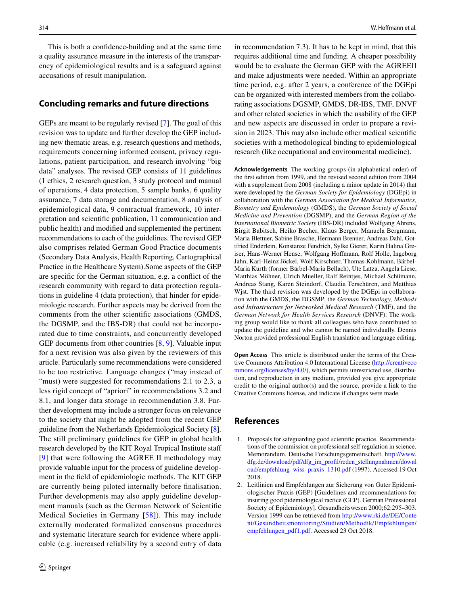This is both a confdence-building and at the same time a quality assurance measure in the interests of the transparency of epidemiological results and is a safeguard against accusations of result manipulation.

# **Concluding remarks and future directions**

GEPs are meant to be regularly revised [[7\]](#page-14-21). The goal of this revision was to update and further develop the GEP including new thematic areas, e.g. research questions and methods, requirements concerning informed consent, privacy regulations, patient participation, and research involving "big data" analyses. The revised GEP consists of 11 guidelines (1 ethics, 2 research question, 3 study protocol and manual of operations, 4 data protection, 5 sample banks, 6 quality assurance, 7 data storage and documentation, 8 analysis of epidemiological data, 9 contractual framework, 10 interpretation and scientifc publication, 11 communication and public health) and modifed and supplemented the pertinent recommendations to each of the guidelines. The revised GEP also comprises related German Good Practice documents (Secondary Data Analysis, Health Reporting, Cartographical Practice in the Healthcare System).Some aspects of the GEP are specifc for the German situation, e.g. a confict of the research community with regard to data protection regulations in guideline 4 (data protection), that hinder for epidemiologic research. Further aspects may be derived from the comments from the other scientifc associations (GMDS, the DGSMP, and the IBS-DR) that could not be incorporated due to time constraints, and concurrently developed GEP documents from other countries [[8,](#page-14-22) [9\]](#page-14-3). Valuable input for a next revision was also given by the reviewers of this article. Particularly some recommendations were considered to be too restrictive. Language changes ("may instead of "must) were suggested for recommendations 2.1 to 2.3, a less rigid concept of "apriori" in recommendations 3.2 and 8.1, and longer data storage in recommendation 3.8. Further development may include a stronger focus on relevance to the society that might be adopted from the recent GEP guideline from the Netherlands Epidemiological Society [\[8](#page-14-22)]. The still preliminary guidelines for GEP in global health research developed by the KIT Royal Tropical Institute staf [[9\]](#page-14-3) that were following the AGREE II methodology may provide valuable input for the process of guideline development in the feld of epidemiologic methods. The KIT GEP are currently being piloted internally before fnalisation. Further developments may also apply guideline development manuals (such as the German Network of Scientifc Medical Societies in Germany [[58](#page-15-24)]). This may include externally moderated formalized consensus procedures and systematic literature search for evidence where applicable (e.g. increased reliability by a second entry of data

in recommendation 7.3). It has to be kept in mind, that this requires additional time and funding. A cheaper possibility would be to evaluate the German GEP with the AGREEII and make adjustments were needed. Within an appropriate time period, e.g. after 2 years, a conference of the DGEpi can be organized with interested members from the collaborating associations DGSMP, GMDS, DR-IBS, TMF, DNVF and other related societies in which the usability of the GEP and new aspects are discussed in order to prepare a revision in 2023. This may also include other medical scientifc societies with a methodological binding to epidemiological research (like occupational and environmental medicine).

**Acknowledgements** The working groups (in alphabetical order) of the frst edition from 1999, and the revised second edition from 2004 with a supplement from 2008 (including a minor update in 2014) that were developed by the *German Society for Epidemiology* (DGEpi) in collaboration with the *German Association for Medical Informatics, Biometry and Epidemiology* (GMDS), the *German Society of Social Medicine and Prevention* (DGSMP), and the *German Region of the International Biometric Society* (IBS-DR) included Wolfgang Ahrens, Birgit Babitsch, Heiko Becher, Klaus Berger, Manuela Bergmann, Maria Blettner, Sabine Brasche, Hermann Brenner, Andreas Dahl, Gottfried Enderlein, Konstanze Fendrich, Sylke Gierer, Karin Halina Greiser, Hans-Werner Hense, Wolfgang Hofmann, Rolf Holle, Ingeborg Jahn, Karl-Heinz Jöckel, Wolf Kirschner, Thomas Kohlmann, Bärbel-Maria Kurth (former Bärbel-Maria Bellach), Ute Latza, Angela Liese, Matthias Möhner, Ulrich Mueller, Ralf Reintjes, Michael Schümann, Andreas Stang, Karen Steindorf, Claudia Terschüren, and Matthias Wjst. The third revision was developed by the DGEpi in collaboration with the GMDS, the DGSMP, the *German Technology, Methods and Infrastructure for Networked Medical Research* (TMF), and the *German Network for Health Services Research* (DNVF). The working group would like to thank all colleagues who have contributed to update the guideline and who cannot be named individually. Dennis Norton provided professional English translation and language editing.

**Open Access** This article is distributed under the terms of the Creative Commons Attribution 4.0 International License ([http://creativeco](http://creativecommons.org/licenses/by/4.0/) [mmons.org/licenses/by/4.0/](http://creativecommons.org/licenses/by/4.0/)), which permits unrestricted use, distribution, and reproduction in any medium, provided you give appropriate credit to the original author(s) and the source, provide a link to the Creative Commons license, and indicate if changes were made.

#### **References**

- <span id="page-13-0"></span>1. Proposals for safeguarding good scientifc practice. Recommendations of the commission on professional self regulation in science. Memorandum. Deutsche Forschungsgemeinschaft. [http://www.](http://www.dfg.de/download/pdf/dfg_im_profil/reden_stellungnahmen/download/empfehlung_wiss_praxis_1310.pdf) [dfg.de/download/pdf/dfg\\_im\\_profl/reden\\_stellungnahmen/downl](http://www.dfg.de/download/pdf/dfg_im_profil/reden_stellungnahmen/download/empfehlung_wiss_praxis_1310.pdf) [oad/empfehlung\\_wiss\\_praxis\\_1310.pdf](http://www.dfg.de/download/pdf/dfg_im_profil/reden_stellungnahmen/download/empfehlung_wiss_praxis_1310.pdf) (1997). Accessed 19 Oct 2018.
- <span id="page-13-1"></span>2. Leitlinien und Empfehlungen zur Sicherung von Guter Epidemiologischer Praxis (GEP) [Guidelines and recommendations for insuring good pidemiological ractice (GEP). German Professional Society of Epidemiology]. Gesundheitswesen 2000;62:295–303. Version 1999 can be retrieved from [http://www.rki.de/DE/Conte](http://www.rki.de/DE/Content/Gesundheitsmonitoring/Studien/Methodik/Empfehlungen/empfehlungen_pdf1.pdf) [nt/Gesundheitsmonitoring/Studien/Methodik/Empfehlungen/](http://www.rki.de/DE/Content/Gesundheitsmonitoring/Studien/Methodik/Empfehlungen/empfehlungen_pdf1.pdf) [empfehlungen\\_pdf1.pdf.](http://www.rki.de/DE/Content/Gesundheitsmonitoring/Studien/Methodik/Empfehlungen/empfehlungen_pdf1.pdf) Accessed 23 Oct 2018.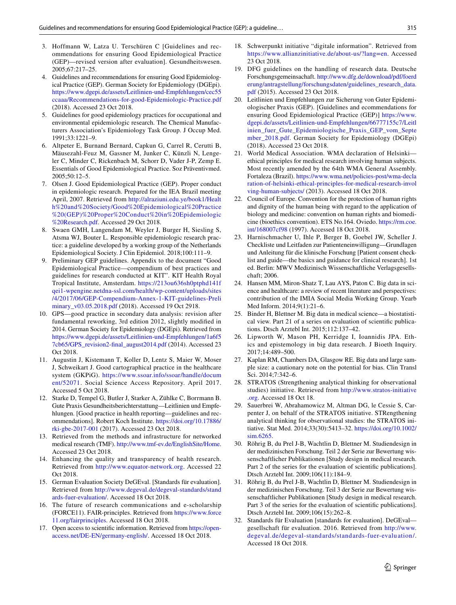- <span id="page-14-0"></span>3. Hoffmann W, Latza U. Terschüren C [Guidelines and recommendations for ensuring Good Epidemiological Practice (GEP)—revised version after evaluation]. Gesundheitswesen. 2005;67:217–25.
- <span id="page-14-1"></span>4. Guidelines and recommendations for ensuring Good Epidemiological Practice (GEP). German Society for Epidemiology (DGEpi). [https://www.dgepi.de/assets/Leitlinien-und-Empfehlungen/cec55](https://www.dgepi.de/assets/Leitlinien-und-Empfehlungen/cec55ccaaa/Recommendations-for-good-Epidemiologic-Practice.pdf) [ccaaa/Recommendations-for-good-Epidemiologic-Practice.pdf](https://www.dgepi.de/assets/Leitlinien-und-Empfehlungen/cec55ccaaa/Recommendations-for-good-Epidemiologic-Practice.pdf) (2018). Accessed 23 Oct 2018.
- <span id="page-14-2"></span>5. Guidelines for good epidemiology practices for occupational and environmental epidemiologic research. The Chemical Manufacturers Association's Epidemiology Task Group. J Occup Med. 1991;33:1221–9.
- 6. Altpeter E, Burnand Bernard, Capkun G, Carrel R, Cerutti B, Mäusezahl-Feuz M, Gassner M, Junker C, Künzli N, Lengeler C, Minder C, Rickenbach M, Schorr D, Vader J-P, Zemp E. Essentials of Good Epidemiological Practice. Soz Präventivmed. 2005;50:12–5.
- <span id="page-14-21"></span>7. Olsen J. Good Epidemiological Practice (GEP). Proper conduct in epidemiologic research. Prepared for the IEA Brazil meeting April, 2007. Retrieved from [http://alraziuni.edu.ye/book1/Healt](http://alraziuni.edu.ye/book1/Health%20and%20Society/Good%20Epidemiological%20Practice%20(GEP)%20Proper%20Conduct%20in%20Epidemiologic%20Research.pdf) [h%20and%20Society/Good%20Epidemiological%20Practice](http://alraziuni.edu.ye/book1/Health%20and%20Society/Good%20Epidemiological%20Practice%20(GEP)%20Proper%20Conduct%20in%20Epidemiologic%20Research.pdf) [%20\(GEP\)%20Proper%20Conduct%20in%20Epidemiologic](http://alraziuni.edu.ye/book1/Health%20and%20Society/Good%20Epidemiological%20Practice%20(GEP)%20Proper%20Conduct%20in%20Epidemiologic%20Research.pdf) [%20Research.pdf.](http://alraziuni.edu.ye/book1/Health%20and%20Society/Good%20Epidemiological%20Practice%20(GEP)%20Proper%20Conduct%20in%20Epidemiologic%20Research.pdf) Accessed 29 Oct 2018.
- <span id="page-14-22"></span>8. Swaen GMH, Langendam M, Weyler J, Burger H, Siesling S, Atsma WJ, Bouter L. Responsible epidemiologic research practice: a guideline developed by a working group of the Netherlands Epidemiological Society. J Clin Epidemiol. 2018;100:111–9.
- <span id="page-14-3"></span>9. Preliminary GEP guidelines. Appendix to the document "Good Epidemiological Practice—compendium of best practices and guidelines for research conducted at KIT". KIT Health Royal Tropical Institute, Amsterdam. [https://213ou636sh0ptphd141f](https://213ou636sh0ptphd141fqei1-wpengine.netdna-ssl.com/health/wp-content/uploads/sites/4/2017/06/GEP-Compendium-Annex-1-KIT-guidelines-Preliminary_v03.05.2018.pdf) [qei1-wpengine.netdna-ssl.com/health/wp-content/uploads/sites](https://213ou636sh0ptphd141fqei1-wpengine.netdna-ssl.com/health/wp-content/uploads/sites/4/2017/06/GEP-Compendium-Annex-1-KIT-guidelines-Preliminary_v03.05.2018.pdf) [/4/2017/06/GEP-Compendium-Annex-1-KIT-guidelines-Preli](https://213ou636sh0ptphd141fqei1-wpengine.netdna-ssl.com/health/wp-content/uploads/sites/4/2017/06/GEP-Compendium-Annex-1-KIT-guidelines-Preliminary_v03.05.2018.pdf) [minary\\_v03.05.2018.pdf](https://213ou636sh0ptphd141fqei1-wpengine.netdna-ssl.com/health/wp-content/uploads/sites/4/2017/06/GEP-Compendium-Annex-1-KIT-guidelines-Preliminary_v03.05.2018.pdf) (2018). Accessed 19 Oct 2918.
- <span id="page-14-4"></span>10. GPS—good practice in secondary data analysis: revision after fundamental reworking, 3rd edition 2012, slightly modifed in 2014. German Society for Epidemiology (DGEpi). Retrieved from [https://www.dgepi.de/assets/Leitlinien-und-Empfehlungen/1a6f5](https://www.dgepi.de/assets/Leitlinien-und-Empfehlungen/1a6f57cb65/GPS_revision2-final_august2014.pdf) [7cb65/GPS\\_revision2-fnal\\_august2014.pdf](https://www.dgepi.de/assets/Leitlinien-und-Empfehlungen/1a6f57cb65/GPS_revision2-final_august2014.pdf) (2014). Accessed 23 Oct 2018.
- <span id="page-14-17"></span>11. Augustin J, Kistemann T, Koller D, Lentz S, Maier W, Moser J, Schweikart J. Good cartographical practice in the healthcare system (GKPiG). [https://www.ssoar.info/ssoar/handle/docum](https://www.ssoar.info/ssoar/handle/document/52071) [ent/52071](https://www.ssoar.info/ssoar/handle/document/52071). Social Science Access Repository. April 2017. Accessed 5 Oct 2018.
- <span id="page-14-5"></span>12. Starke D, Tempel G, Butler J, Starker A, Zühlke C, Borrmann B. Gute Praxis Gesundheitsberichterstattung—Leitlinien und Empfehlungen. [Good practice in health reporting—guidelines and recommendations]. Robert Koch Institute. [https://doi.org/10.17886/](https://doi.org/10.17886/rki-gbe-2017-001) [rki-gbe-2017-001](https://doi.org/10.17886/rki-gbe-2017-001) (2017). Accessed 23 Oct 2018.
- <span id="page-14-6"></span>13. Retrieved from the methods and infrastructure for networked medical research (TMF). <http://www.tmf-ev.de/EnglishSite/Home>. Accessed 23 Oct 2018.
- 14. Enhancing the quality and transparency of health research. Retrieved from <http://www.equator-network.org>. Accessed 22 Oct 2018.
- 15. German Evaluation Society DeGEval. [Standards für evaluation]. Retrieved from [http://www.degeval.de/degeval-standards/stand](http://www.degeval.de/degeval-standards/standards-fuer-evaluation/) [ards-fuer-evaluation/.](http://www.degeval.de/degeval-standards/standards-fuer-evaluation/) Accessed 18 Oct 2018.
- 16. The future of research communications and e-scholarship (FORCE11). FAIR-principles. Retrieved from [https://www.force](https://www.force11.org/fairprinciples) [11.org/fairprinciples.](https://www.force11.org/fairprinciples) Accessed 18 Oct 2018.
- 17. Open access to scientifc information. Retrieved from [https://open](https://open-access.net/DE-EN/germany-english/)[access.net/DE-EN/germany-english/.](https://open-access.net/DE-EN/germany-english/) Accessed 18 Oct 2018.
- 18. Schwerpunkt initiative "digitale information". Retrieved from [https://www.allianzinitiative.de/about-us/?lang=en.](https://www.allianzinitiative.de/about-us/%3flang%3den) Accessed 23 Oct 2018.
- <span id="page-14-7"></span>19. DFG guidelines on the handling of research data. Deutsche Forschungsgemeinsachaft. [http://www.dfg.de/download/pdf/foerd](http://www.dfg.de/download/pdf/foerderung/antragstellung/forschungsdaten/guidelines_research_data.pdf) [erung/antragstellung/forschungsdaten/guidelines\\_research\\_data.](http://www.dfg.de/download/pdf/foerderung/antragstellung/forschungsdaten/guidelines_research_data.pdf) [pdf](http://www.dfg.de/download/pdf/foerderung/antragstellung/forschungsdaten/guidelines_research_data.pdf) (2015). Accessed 23 Oct 2018.
- <span id="page-14-8"></span>20. Leitlinien und Empfehlungen zur Sicherung von Guter Epidemiologischer Praxis (GEP). [Guidelines and ecommendations for ensuring Good Epidemiological Practice (GEP)] [https://www.](https://www.dgepi.de/assets/Leitlinien-und-Empfehlungen/66777155c7/Leitlinien_fuer_Gute_Epidemiologische_Praxis_GEP_vom_September_2018.pdf) [dgepi.de/assets/Leitlinien-und-Empfehlungen/66777155c7/Leitl](https://www.dgepi.de/assets/Leitlinien-und-Empfehlungen/66777155c7/Leitlinien_fuer_Gute_Epidemiologische_Praxis_GEP_vom_September_2018.pdf) [inien\\_fuer\\_Gute\\_Epidemiologische\\_Praxis\\_GEP\\_vom\\_Septe](https://www.dgepi.de/assets/Leitlinien-und-Empfehlungen/66777155c7/Leitlinien_fuer_Gute_Epidemiologische_Praxis_GEP_vom_September_2018.pdf) [mber\\_2018.pdf](https://www.dgepi.de/assets/Leitlinien-und-Empfehlungen/66777155c7/Leitlinien_fuer_Gute_Epidemiologische_Praxis_GEP_vom_September_2018.pdf). German Society for Epidemiology (DGEpi) (2018). Accessed 23 Oct 2018.
- <span id="page-14-9"></span>21. World Medical Association. WMA declaration of Helsinki ethical principles for medical research involving human subjects. Most recently amended by the 64th WMA General Assembly. Fortaleza (Brazil). [https://www.wma.net/policies-post/wma-decla](https://www.wma.net/policies-post/wma-declaration-of-helsinki-ethical-principles-for-medical-research-involving-human-subjects/) [ration-of-helsinki-ethical-principles-for-medical-research-invol](https://www.wma.net/policies-post/wma-declaration-of-helsinki-ethical-principles-for-medical-research-involving-human-subjects/) [ving-human-subjects/](https://www.wma.net/policies-post/wma-declaration-of-helsinki-ethical-principles-for-medical-research-involving-human-subjects/) (2013). Accessed 18 Oct 2018.
- <span id="page-14-10"></span>22. Council of Europe. Convention for the protection of human rights and dignity of the human being with regard to the application of biology and medicine: convention on human rights and biomedicine (bioethics convention). ETS No.164. Oviedo. [https://rm.coe.](https://rm.coe.int/168007cf98) [int/168007cf98](https://rm.coe.int/168007cf98) (1997). Accessed 18 Oct 2018.
- <span id="page-14-11"></span>23. Harnischmacher U, Ihle P, Berger B, Goebel JW, Scheller J. Checkliste und Leitfaden zur Patienteneinwilligung—Grundlagen und Anleitung für die klinische Forschung [Patient consent checklist and guide—the basics and guidance for clinical research]. 1st ed. Berlin: MWV Medizinisch Wissenschaftliche Verlagsgesellschaft; 2006.
- <span id="page-14-12"></span>24. Hansen MM, Miron-Shatz T, Lau AYS, Paton C. Big data in science and healthcare: a review of recent literature and perspectives: contribution of the IMIA Social Media Working Group. Yearb Med Inform. 2014;9(1):21–6.
- <span id="page-14-13"></span>25. Binder H, Blettner M. Big data in medical science—a biostatistical view. Part 21 of a series on evaluation of scientifc publications. Dtsch Arztebl Int. 2015;112:137–42.
- <span id="page-14-14"></span>26. Lipworth W, Mason PH, Kerridge I, Ioannidis JPA. Ethics and epistemology in big data research. J Bioeth Inquiry. 2017;14:489–500.
- <span id="page-14-15"></span>27. Kaplan RM, Chambers DA, Glasgow RE. Big data and large sample size: a cautionary note on the potential for bias. Clin Transl Sci. 2014;7:342–6.
- <span id="page-14-16"></span>28. STRATOS (Strengthening analytical thinking for observational studies) initiative. Retrieved from [http://www.stratos-initiative](http://www.stratos-initiative.org) [.org.](http://www.stratos-initiative.org) Accessed 18 Oct 18.
- <span id="page-14-18"></span>29. Sauerbrei W, Abrahamowicz M, Altman DG, le Cessie S, Carpenter J, on behalf of the STRATOS initiative. STRengthening analytical thinking for observational studies: the STRATOS initiative. Stat Med. 2014;33(30):5413–32. [https://doi.org/10.1002/](https://doi.org/10.1002/sim.6265) [sim.6265.](https://doi.org/10.1002/sim.6265)
- <span id="page-14-19"></span>30. Röhrig B, du Prel J-B, Wachtlin D, Blettner M. Studiendesign in der medizinischen Forschung. Teil 2 der Serie zur Bewertung wissenschaftlicher Publikationen [Study design in medical research. Part 2 of the series for the evaluation of scientifc publications]. Dtsch Arztebl Int. 2009;106(11):184–9.
- 31. Röhrig B, du Prel J-B, Wachtlin D, Blettner M. Studiendesign in der medizinischen Forschung. Teil 3 der Serie zur Bewertung wissenschaftlicher Publikationen [Study design in medical research. Part 3 of the series for the evaluation of scientific publications]. Dtsch Arztebl Int. 2009;106(15):262–8.
- <span id="page-14-20"></span>32. Standards für Evaluation [standards for evaluation]. DeGEval gesellschaft für evaluation. 2016. Retrieved from [http://www.](http://www.degeval.de/degeval-standards/standards-fuer-evaluation/) [degeval.de/degeval-standards/standards-fuer-evaluation/](http://www.degeval.de/degeval-standards/standards-fuer-evaluation/). Accessed 18 Oct 2018.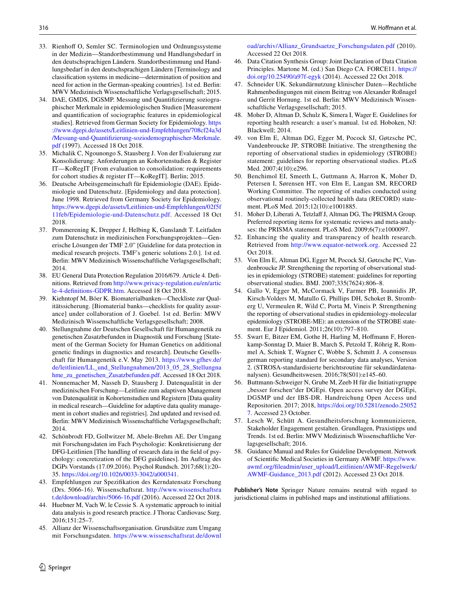- <span id="page-15-0"></span>33. Rienhoff O, Semler SC. Terminologien und Ordnungssysteme in der Medizin—Standortbestimmung und Handlungsbedarf in den deutschsprachigen Ländern. Standortbestimmung und Handlungsbedarf in den deutschsprachigen Ländern [Terminology and classifcation systems in medicine—determination of position and need for action in the German-speaking countries]. 1st ed. Berlin: MWV Medizinisch Wissenschaftliche Verlagsgesellschaft; 2015.
- <span id="page-15-1"></span>34. DAE, GMDS, DGSMP. Messung und Quantifzierung soziographischer Merkmale in epidemiologischen Studien [Measurement and quantifcation of sociographic features in epidemiological studies]. Retrieved from German Society for Epidemiology. [https](https://www.dgepi.de/assets/Leitlinien-und-Empfehlungen/708cf24a3d/Messung-und-Quantifizierung-soziodemographischer-Merkmale.pdf) [://www.dgepi.de/assets/Leitlinien-und-Empfehlungen/708cf24a3d](https://www.dgepi.de/assets/Leitlinien-und-Empfehlungen/708cf24a3d/Messung-und-Quantifizierung-soziodemographischer-Merkmale.pdf) [/Messung-und-Quantifzierung-soziodemographischer-Merkmale.](https://www.dgepi.de/assets/Leitlinien-und-Empfehlungen/708cf24a3d/Messung-und-Quantifizierung-soziodemographischer-Merkmale.pdf) [pdf](https://www.dgepi.de/assets/Leitlinien-und-Empfehlungen/708cf24a3d/Messung-und-Quantifizierung-soziodemographischer-Merkmale.pdf) (1997). Accessed 18 Oct 2018.
- <span id="page-15-2"></span>35. Michalik C, Ngounongo S, Stausberg J. Von der Evaluierung zur Konsolidierung: Anforderungen an Kohortenstudien & Register IT—KoRegIT [From evaluation to consolidation: requirements for cohort studies & register IT—KoRegIT]. Berlin; 2015.
- <span id="page-15-3"></span>36. Deutsche Arbeitsgemeinschaft für Epidemiologie (DAE). Epidemiologie und Datenschutz. [Epidemiology and data protection]. June 1998. Retrieved from Germany Society for Epidemiology. [https://www.dgepi.de/assets/Leitlinien-und-Empfehlungen/02f5f](https://www.dgepi.de/assets/Leitlinien-und-Empfehlungen/02f5f11feb/Epidemiologie-und-Datenschutz.pdf) [11feb/Epidemiologie-und-Datenschutz.pdf](https://www.dgepi.de/assets/Leitlinien-und-Empfehlungen/02f5f11feb/Epidemiologie-und-Datenschutz.pdf). Accessed 18 Oct 2018.
- <span id="page-15-4"></span>37. Pommerening K, Drepper J, Helbing K, Ganslandt T. Leitfaden zum Datenschutz in medizinischen Forschungsprojekten—Generische Lösungen der TMF 2.0" [Guideline for data protection in medical research projects. TMF's generic solutions 2.0.]. 1st ed. Berlin: MWV Medizinisch Wissenschaftliche Verlagsgesellschaft; 2014.
- <span id="page-15-5"></span>38. EU General Data Protection Regulation 2016/679. Article 4. Defnitions. Retrieved from [http://www.privacy-regulation.eu/en/artic](http://www.privacy-regulation.eu/en/article-4-definitions-GDPR.htm) [le-4-defnitions-GDPR.htm.](http://www.privacy-regulation.eu/en/article-4-definitions-GDPR.htm) Accessed 18 Oct 2018.
- <span id="page-15-6"></span>39. Kiehntopf M, Böer K. Biomaterialbanken—Checkliste zur Qualitätssicherung. [Biomaterial banks—checklists for quality assurance] under collaboration of J. Goebel. 1st ed. Berlin: MWV Medizinisch Wissenschaftliche Verlagsgesellschaft; 2008.
- <span id="page-15-7"></span>40. Stellungnahme der Deutschen Gesellschaft für Humangenetik zu genetischen Zusatzbefunden in Diagnostik und Forschung [Statement of the German Society for Human Genetics on additional genetic fndings in diagnostics and research]. Deutsche Gesellschaft für Humangenetik e.V. May 2013. [https://www.gfhev.de/](https://www.gfhev.de/de/leitlinien/LL_und_Stellungnahmen/2013_05_28_Stellungnahme_zu_genetischen_Zusatzbefunden.pdf) [de/leitlinien/LL\\_und\\_Stellungnahmen/2013\\_05\\_28\\_Stellungna](https://www.gfhev.de/de/leitlinien/LL_und_Stellungnahmen/2013_05_28_Stellungnahme_zu_genetischen_Zusatzbefunden.pdf) [hme\\_zu\\_genetischen\\_Zusatzbefunden.pdf.](https://www.gfhev.de/de/leitlinien/LL_und_Stellungnahmen/2013_05_28_Stellungnahme_zu_genetischen_Zusatzbefunden.pdf) Accessed 18 Oct 2018.
- <span id="page-15-8"></span>41. Nonnemacher M, Nasseh D, Stausberg J. Datenqualität in der medizinischen Forschung—Leitlinie zum adaptiven Management von Datenqualität in Kohortenstudien und Registern [Data quality in medical research—Guideline for adaptive data quality management in cohort studies and registries]. 2nd updated and revised ed. Berlin: MWV Medizinisch Wissenschaftliche Verlagsgesellschaft; 2014.
- <span id="page-15-9"></span>42. Schönbrodt FD, Gollwitzer M, Abele-Brehm AE. Der Umgang mit Forschungsdaten im Fach Psychologie: Konkretisierung der DFG-Leitlinien [The handling of research data in the feld of psychology: concretization of the DFG guidelines]. Im Auftrag des DGPs Vorstands (17.09.2016). Psychol Rundsch. 2017;68(1):20– 35. <https://doi.org/10.1026/0033-3042/a000341>.
- <span id="page-15-10"></span>43. Empfehlungen zur Spezifkation des Kerndatensatz Forschung (Drs. 5066-16). Wissenschaftsrat. [http://www.wissenschaftsra](http://www.wissenschaftsrat.de/download/archiv/5066-16.pdf) [t.de/download/archiv/5066-16.pdf](http://www.wissenschaftsrat.de/download/archiv/5066-16.pdf) (2016). Accessed 22 Oct 2018.
- <span id="page-15-11"></span>44. Huebner M, Vach W, le Cessie S. A systematic approach to initial data analysis is good research practice. J Thorac Cardiovasc Surg. 2016;151:25–7.
- <span id="page-15-12"></span>45. Allianz der Wissenschaftsorganisation. Grundsätze zum Umgang mit Forschungsdaten. [https://www.wissenschaftsrat.de/downl](https://www.wissenschaftsrat.de/download/archiv/Allianz_Grundsaetze_Forschungsdaten.pdf)

[oad/archiv/Allianz\\_Grundsaetze\\_Forschungsdaten.pdf](https://www.wissenschaftsrat.de/download/archiv/Allianz_Grundsaetze_Forschungsdaten.pdf) (2010). Accessed 22 Oct 2018.

- <span id="page-15-13"></span>46. Data Citation Synthesis Group: Joint Declaration of Data Citation Principles. Martone M. (ed.) San Diego CA. FORCE11. [https://](https://doi.org/10.25490/a97f-egyk) [doi.org/10.25490/a97f-egyk](https://doi.org/10.25490/a97f-egyk) (2014). Accessed 22 Oct 2018.
- <span id="page-15-14"></span>47. Schneider UK. Sekundärnutzung klinischer Daten—Rechtliche Rahmenbedingungen mit einem Beitrag von Alexander Roßnagel und Gerrit Hornung. 1st ed. Berlin: MWV Medizinisch Wissenschaftliche Verlagsgesellschaft; 2015.
- <span id="page-15-15"></span>48. Moher D, Altman D, Schulz K, Simera I, Wager E. Guidelines for reporting health research: a user's manual. 1st ed. Hoboken, NJ: Blackwell; 2014.
- 49. von Elm E, Altman DG, Egger M, Pocock SJ, Gøtzsche PC, Vandenbroucke JP, STROBE Initiative. The strengthening the reporting of observational studies in epidemiology (STROBE) statement: guidelines for reporting observational studies. PLoS Med. 2007;4(10):e296.
- <span id="page-15-20"></span>50. Benchimol EI, Smeeth L, Guttmann A, Harron K, Moher D, Petersen I, Sørensen HT, von Elm E, Langan SM, RECORD Working Committee. The reporting of studies conducted using observational routinely-collected health data (RECORD) statement. PLoS Med. 2015;12(10):e1001885.
- <span id="page-15-22"></span>51. Moher D, Liberati A, Tetzlaff J, Altman DG, The PRISMA Group. Preferred reporting items for systematic reviews and meta-analyses: the PRISMA statement. PLoS Med. 2009;6(7):e1000097.
- <span id="page-15-17"></span>52. Enhancing the quality and transparency of health research. Retrieved from <http://www.equator-network.org>. Accessed 22 Oct 2018.
- <span id="page-15-18"></span>53. Von Elm E, Altman DG, Egger M, Pocock SJ, Gøtzsche PC, Vandenbroucke JP. Strengthening the reporting of observational studies in epidemiology (STROBE) statement: guidelines for reporting observational studies. BMJ. 2007;335(7624):806–8.
- <span id="page-15-19"></span>54. Gallo V, Egger M, McCormack V, Farmer PB, Ioannidis JP, Kirsch-Volders M, Matullo G, Phillips DH, Schoket B, Stromberg U, Vermeulen R, Wild C, Porta M, Vineis P. Strengthening the reporting of observational studies in epidemiology-molecular epidemiology (STROBE-ME): an extension of the STROBE statement. Eur J Epidemiol. 2011;26(10):797–810.
- <span id="page-15-16"></span>55. Swart E, Bitzer EM, Gothe H, Harling M, Hofmann F, Horenkamp-Sonntag D, Maier B, March S, Petzold T, Röhrig R, Rommel A, Schink T, Wagner C, Wobbe S, Schmitt J. A consensus german reporting standard for secondary data analyses, Version 2. (STROSA-standardisierte berichtsroutine für sekundärdatenanalysen). Gesundheitswesen. 2016;78(S01):e145–60.
- <span id="page-15-23"></span>56. Buttmann-Schweiger N, Grube M, Zeeb H für die Initiativgruppe "besser forschen"der DGEpi. Open access survey der DGEpi, DGSMP und der IBS-DR. Handreichung Open Access und Repositorien. 2017; 2018, [https://doi.org/10.5281/zenodo.25052](https://doi.org/10.5281/zenodo.250527) [7](https://doi.org/10.5281/zenodo.250527). Accessed 23 October.
- <span id="page-15-21"></span>57. Lesch W, Schütt A. Gesundheitsforschung kommunizieren, Stakeholder Engagement gestalten. Grundlagen, Praxistipps und Trends. 1st ed. Berlin: MWV Medizinisch Wissenschaftliche Verlagsgesellschaft; 2016.
- <span id="page-15-24"></span>58. Guidance Manual and Rules for Guideline Development. Network of Scientifc Medical Societies in Germany AWMF. [https://www.](https://www.awmf.org/fileadmin/user_upload/Leitlinien/AWMF-Regelwerk/AWMF-Guidance_2013.pdf) [awmf.org/fleadmin/user\\_upload/Leitlinien/AWMF-Regelwerk/](https://www.awmf.org/fileadmin/user_upload/Leitlinien/AWMF-Regelwerk/AWMF-Guidance_2013.pdf) [AWMF-Guidance\\_2013.pdf](https://www.awmf.org/fileadmin/user_upload/Leitlinien/AWMF-Regelwerk/AWMF-Guidance_2013.pdf) (2012). Accessed 23 Oct 2018.

**Publisher's Note** Springer Nature remains neutral with regard to jurisdictional claims in published maps and institutional afliations.